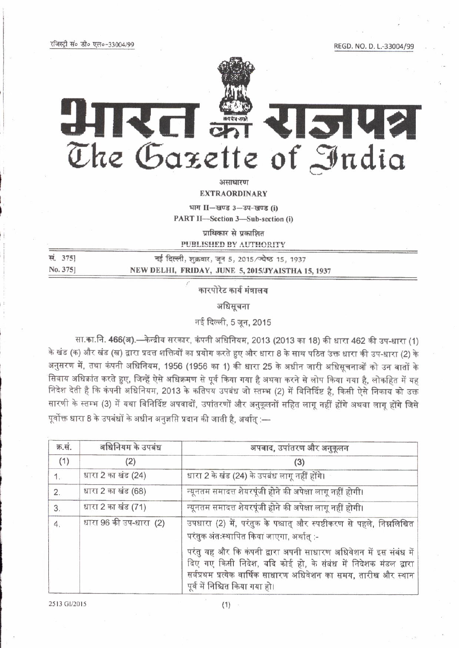## HIREI XISLEI The Gazette of India

असाधारण

**EXTRAORDINARY** 

भाग II-खण्ड 3-उप-खण्ड (i)

PART II-Section 3-Sub-section (i)

प्राधिकार से प्रकाशित

PUBLISHED BY AUTHORITY

| सं. 3751 | नई दिल्ली, शुक्रवार, जून 5, 2015/ज्येष्ठ 15, 1937 |
|----------|---------------------------------------------------|
| No. 375  | NEW DELHI, FRIDAY, JUNE 5, 2015/JYAISTHA 15, 1937 |

कारपोरेट कार्य मंत्रालय

अधिसूचना

नई दिल्ली, 5 जून, 2015

सा.का.नि. 466(अ).—केन्द्रीय सरकार, कंपनी अधिनियम, 2013 (2013 का 18) की धारा 462 की उप-धारा (1) के खंड (क) और खंड (ख) द्वारा प्रदत्त शक्तियों का प्रयोग करते हुए और धारा 8 के साथ पठित उक्त धारा की उप-धारा (2) के अनुसरण में, तथा कंपनी अधिनियम, 1956 (1956 का 1) की धारा 25 के अधीन जारी अधिसूचनाओं को उन बातों के सिवाय अधिक्रांत करते हुए, जिन्हें ऐसे अधिक्रमण से पूर्व किया गया है अथवा करने से लोप किया गया है. लोकहित में यह निदेश देती है कि कंपनी अधिनियम, 2013 के कतिपय उपबंध जो स्तम्भ (2) में विनिर्दिष्ट है, किसी ऐसे निकाय को उक्त सारणी के स्तम्भ (3) में यथा विनिर्दिष्ट अपवादों, उपांतरणों और अनुकूलनों सहित लागू नहीं होंगे अथवा लागू होंगे जिसे पूर्वोक्त धारा 8 के उपबंधों के अधीन अनुज्ञप्ति प्रदान की जाती है, अर्थात :—

| क्र.सं.          | अधिनियम के उपबंध       | अपवाद, उपांतरण और अनुकूलन                                                                                                                                                                                                                |
|------------------|------------------------|------------------------------------------------------------------------------------------------------------------------------------------------------------------------------------------------------------------------------------------|
| (1)              | (2)                    | (3)                                                                                                                                                                                                                                      |
| 1.               | धारा 2 का खंड (24)     | धारा 2 के खंड (24) के उपबंध लागू नहीं होंगे।                                                                                                                                                                                             |
| 2.               | धारा 2 का खंड (68)     | न्यूनतम समादत्त शेयरपूंजी होने की अपेक्षा लागू नहीं होगी।                                                                                                                                                                                |
| 3.               | धारा 2 का खंड (71)     | न्यूनतम समादत्त शेयरपूंजी होने की अपेक्षा लागू नहीं होगी।                                                                                                                                                                                |
| $\overline{4}$ . | धारा 96 की उप-धारा (2) | उपधारा (2) में, परंतुक के पश्चात् और स्पष्टीकरण से पहले, निम्नलिखित<br>परंतुक अंतःस्थापित किया जाएगा, अर्थात् :-                                                                                                                         |
|                  |                        | परंतु यह और कि कंपनी द्वारा अपनी साधारण अधिवेशन में इस संबंध में<br>दिए गए किसी निदेश, यदि कोई हो, के संबंध में निदेशक मंडल द्वारा<br>सर्वप्रथम प्रत्येक वार्षिक साधारण अधिवेशन का समय, तारीख और स्थान<br>पूर्व में निश्चित किया गया हो। |

2513 GI/2015

 $(1)$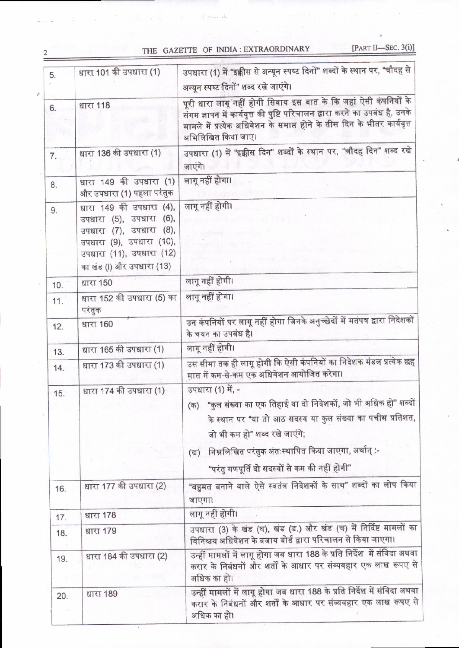THE GAZETTE OF INDIA: EXTRAORDINARY

 $\mathcal{I}$ 

[PART II-SEC.  $3(i)$ ]

| 5.             | धारा 101 की उपधारा (1)                                                                                                                                             | उपधारा (1) में "इक्कीस से अन्यून स्पष्ट दिनों" शब्दों के स्थान पर, "चौदह से<br>अन्यून स्पष्ट दिनों" शब्द रखे जाएंगे।                                                                                                                                 |  |  |
|----------------|--------------------------------------------------------------------------------------------------------------------------------------------------------------------|------------------------------------------------------------------------------------------------------------------------------------------------------------------------------------------------------------------------------------------------------|--|--|
| धारा 118<br>6. |                                                                                                                                                                    | पूरी धारा लागू नहीं होगी सिवाय इस बात के कि जहां ऐसी कंपनियों के<br>संगम ज्ञापन में कार्यवृत्त की पुष्टि परिचालन द्वारा करने का उपबंध है, उनके<br>मामले में प्रत्येक अधिवेशन के समाप्त होने के तीस दिन के भीतर कार्यवृत्त<br>अभिलिखित किया जाए।      |  |  |
| 7.             | धारा 136 की उपधारा (1)                                                                                                                                             | उपधारा (1) में "इक्कीस दिन" शब्दों के स्थान पर, "चौदह दिन" शब्द रखे<br>जाएंगे।                                                                                                                                                                       |  |  |
| 8.             | धारा 149 की उपधारा (1)<br>और उपधारा (1) पहला परंतुक                                                                                                                | लागू नहीं होगा।                                                                                                                                                                                                                                      |  |  |
| 9.             | धारा 149 की उपधारा (4),<br>उपधारा (5), उपधारा (6),<br>उपधारा (7), उपधारा (8),<br>उपधारा (9), उपधारा (10),<br>उपधारा (11), उपधारा (12)<br>का खंड (i) और उपधारा (13) | लागू नहीं होगी।                                                                                                                                                                                                                                      |  |  |
| 10.            | धारा 150                                                                                                                                                           | लागू नहीं होगी।                                                                                                                                                                                                                                      |  |  |
| 11.            | धारा 152 की उपधारा (5) का<br>परंतुक                                                                                                                                | लागू नहीं होगा।                                                                                                                                                                                                                                      |  |  |
| 12.            | धारा 160                                                                                                                                                           | उन कंपनियों पर लागू नहीं होगा जिनके अनुच्छेदों में मतंपत्र द्वारा निदेशकों<br>के चयन का उपबंध है।                                                                                                                                                    |  |  |
| 13.            | धारा 165 की उपधारा (1)                                                                                                                                             | लागू नहीं होगी।                                                                                                                                                                                                                                      |  |  |
| 14.            | धारा 173 की उपधारा (1)                                                                                                                                             | उस सीमा तक ही लागू होगी कि ऐसी कंपनियों का निदेशक मंडल प्रत्येक छह<br>मास में कम-से-कम एक अधिवेशन आयोजित करेगा।                                                                                                                                      |  |  |
| 15.            | धारा 174 की उपधारा (1)                                                                                                                                             | उपधारा (1) में, -<br>(क) "कुल संख्या का एक तिहाई या दो निदेशकों, जो भी अधिक हो" शब्दों<br>के स्थान पर "या तो आठ सदस्य या कुल संख्या का पचीस प्रतिशत,<br>जो भी कम हो" शब्द रखे जाएंगे;<br>निम्नलिखित परंतुक अंतःस्थापित किया जाएगा, अर्थात् :-<br>(ख) |  |  |
| 16.            | धारा 177 की उपधारा (2)                                                                                                                                             | "परंतु गणपूर्ति दो सदस्यों से कम की नहीं होगी"<br>"बहुमत बनाने वाले ऐसे स्वतंत्र निदेशकों के साथ" शब्दों का लोप किया                                                                                                                                 |  |  |
|                |                                                                                                                                                                    | जाएगा।                                                                                                                                                                                                                                               |  |  |
| 17.            | धारा 178                                                                                                                                                           | लागू नहीं होगी।<br>उपधारा (3) के खंड (घ), खंड (ड.) और खंड (च) में निर्दिष्ट मामलों का                                                                                                                                                                |  |  |
| 18.            | धारा 179                                                                                                                                                           | विनिश्चय अधिवेशन के बजाय बोर्ड द्वारा परिचालन से किया जाएगा।                                                                                                                                                                                         |  |  |
| 19.            | धारा 184 की उपधारा (2)                                                                                                                                             | उन्हीं मामलों में लागू होगा जब धारा 188 के प्रति निर्देश  में संविदा अथवा<br>करार के निबंधनों और शर्तों के आधार पर संव्यवहार एक लाख रूपए से<br>अधिक का हो।                                                                                           |  |  |
| 20.            | धारा 189                                                                                                                                                           | उन्हीं मामलों में लागू होगा जब धारा 188 के प्रति निर्देश में संविदा अथवा<br>करार के निबंधनों और शर्तों के आधार पर संव्यवहार एक लाख रूपए से<br>अधिक का हो।                                                                                            |  |  |